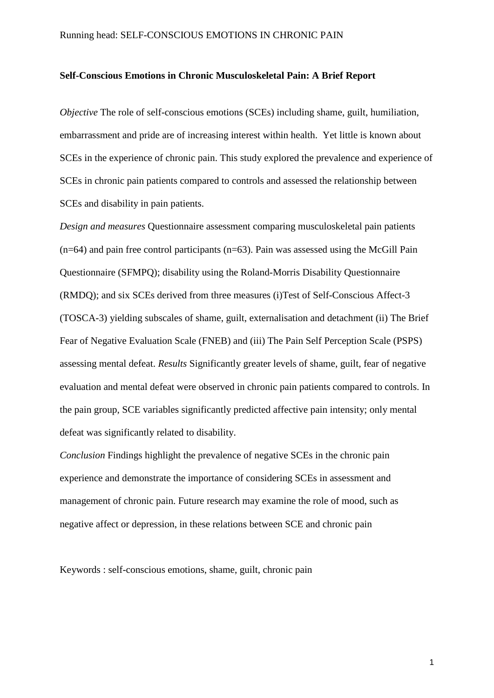# **Self-Conscious Emotions in Chronic Musculoskeletal Pain: A Brief Report**

*Objective* The role of self-conscious emotions (SCEs) including shame, guilt, humiliation, embarrassment and pride are of increasing interest within health. Yet little is known about SCEs in the experience of chronic pain. This study explored the prevalence and experience of SCEs in chronic pain patients compared to controls and assessed the relationship between SCEs and disability in pain patients.

*Design and measures* Questionnaire assessment comparing musculoskeletal pain patients  $(n=64)$  and pain free control participants  $(n=63)$ . Pain was assessed using the McGill Pain Questionnaire (SFMPQ); disability using the Roland-Morris Disability Questionnaire (RMDQ); and six SCEs derived from three measures (i)Test of Self-Conscious Affect-3 (TOSCA-3) yielding subscales of shame, guilt, externalisation and detachment (ii) The Brief Fear of Negative Evaluation Scale (FNEB) and (iii) The Pain Self Perception Scale (PSPS) assessing mental defeat. *Results* Significantly greater levels of shame, guilt, fear of negative evaluation and mental defeat were observed in chronic pain patients compared to controls. In the pain group, SCE variables significantly predicted affective pain intensity; only mental defeat was significantly related to disability.

*Conclusion* Findings highlight the prevalence of negative SCEs in the chronic pain experience and demonstrate the importance of considering SCEs in assessment and management of chronic pain. Future research may examine the role of mood, such as negative affect or depression, in these relations between SCE and chronic pain

Keywords : self-conscious emotions, shame, guilt, chronic pain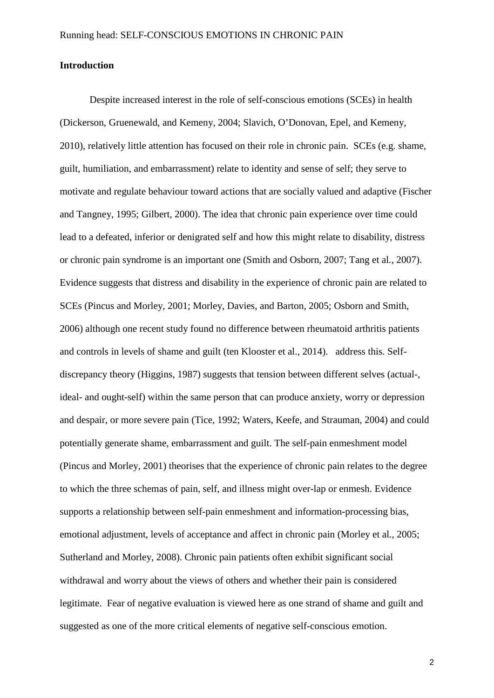### **Introduction**

Despite increased interest in the role of self-conscious emotions (SCEs) in health (Dickerson, Gruenewald, and Kemeny, 2004; Slavich, O'Donovan, Epel, and Kemeny, 2010), relatively little attention has focused on their role in chronic pain. SCEs (e.g. shame, guilt, humiliation, and embarrassment) relate to identity and sense of self; they serve to motivate and regulate behaviour toward actions that are socially valued and adaptive (Fischer and Tangney, 1995; Gilbert, 2000). The idea that chronic pain experience over time could lead to a defeated, inferior or denigrated self and how this might relate to disability, distress or chronic pain syndrome is an important one (Smith and Osborn, 2007; Tang et al*.*, 2007). Evidence suggests that distress and disability in the experience of chronic pain are related to SCEs (Pincus and Morley, 2001; Morley, Davies, and Barton, 2005; Osborn and Smith, 2006) although one recent study found no difference between rheumatoid arthritis patients and controls in levels of shame and guilt (ten Klooster et al., 2014). address this. Selfdiscrepancy theory (Higgins, 1987) suggests that tension between different selves (actual-, ideal- and ought-self) within the same person that can produce anxiety, worry or depression and despair, or more severe pain (Tice, 1992; Waters, Keefe, and Strauman, 2004) and could potentially generate shame, embarrassment and guilt. The self-pain enmeshment model (Pincus and Morley, 2001) theorises that the experience of chronic pain relates to the degree to which the three schemas of pain, self, and illness might over-lap or enmesh. Evidence supports a relationship between self-pain enmeshment and information-processing bias, emotional adjustment, levels of acceptance and affect in chronic pain (Morley et al*.*, 2005; Sutherland and Morley, 2008). Chronic pain patients often exhibit significant social withdrawal and worry about the views of others and whether their pain is considered legitimate. Fear of negative evaluation is viewed here as one strand of shame and guilt and suggested as one of the more critical elements of negative self-conscious emotion.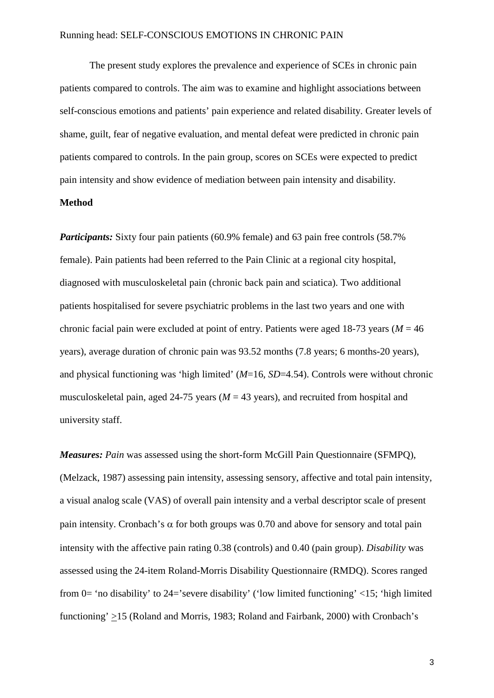The present study explores the prevalence and experience of SCEs in chronic pain patients compared to controls. The aim was to examine and highlight associations between self-conscious emotions and patients' pain experience and related disability. Greater levels of shame, guilt, fear of negative evaluation, and mental defeat were predicted in chronic pain patients compared to controls. In the pain group, scores on SCEs were expected to predict pain intensity and show evidence of mediation between pain intensity and disability.

# **Method**

*Participants:* Sixty four pain patients (60.9% female) and 63 pain free controls (58.7%) female). Pain patients had been referred to the Pain Clinic at a regional city hospital, diagnosed with musculoskeletal pain (chronic back pain and sciatica). Two additional patients hospitalised for severe psychiatric problems in the last two years and one with chronic facial pain were excluded at point of entry. Patients were aged 18-73 years ( $M = 46$ ) years), average duration of chronic pain was 93.52 months (7.8 years; 6 months-20 years), and physical functioning was 'high limited' (*M*=16, *SD*=4.54). Controls were without chronic musculoskeletal pain, aged 24-75 years ( $M = 43$  years), and recruited from hospital and university staff.

*Measures: Pain* was assessed using the short-form McGill Pain Questionnaire (SFMPQ), (Melzack, 1987) assessing pain intensity, assessing sensory, affective and total pain intensity, a visual analog scale (VAS) of overall pain intensity and a verbal descriptor scale of present pain intensity. Cronbach's  $\alpha$  for both groups was 0.70 and above for sensory and total pain intensity with the affective pain rating 0.38 (controls) and 0.40 (pain group). *Disability* was assessed using the 24-item Roland-Morris Disability Questionnaire (RMDQ). Scores ranged from 0= 'no disability' to 24='severe disability' ('low limited functioning' <15; 'high limited functioning' >15 (Roland and Morris, 1983; Roland and Fairbank, 2000) with Cronbach's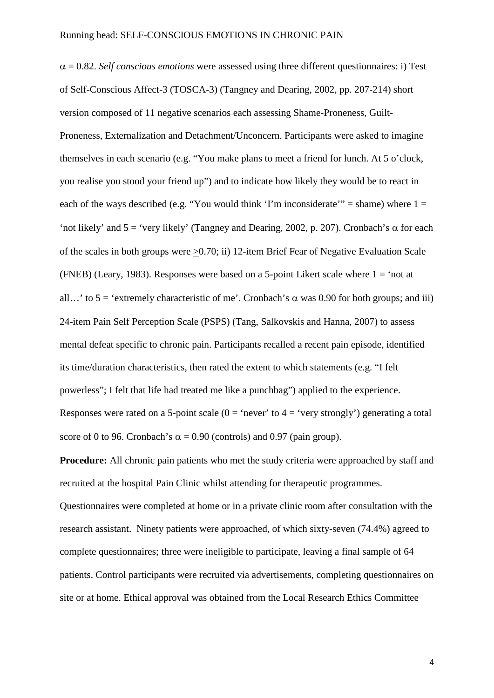α = 0.82. *Self conscious emotions* were assessed using three different questionnaires: i) Test of Self-Conscious Affect-3 (TOSCA-3) (Tangney and Dearing, 2002, pp. 207-214) short version composed of 11 negative scenarios each assessing Shame-Proneness, Guilt-Proneness, Externalization and Detachment/Unconcern. Participants were asked to imagine themselves in each scenario (e.g. "You make plans to meet a friend for lunch. At 5 o'clock, you realise you stood your friend up") and to indicate how likely they would be to react in each of the ways described (e.g. "You would think 'I'm inconsiderate'" = shame) where  $1 =$ 'not likely' and  $5 =$ 'very likely' (Tangney and Dearing, 2002, p. 207). Cronbach's  $\alpha$  for each of the scales in both groups were >0.70; ii) 12-item Brief Fear of Negative Evaluation Scale (FNEB) (Leary, 1983). Responses were based on a 5-point Likert scale where  $1 = 'not$  at all...' to  $5 =$  'extremely characteristic of me'. Cronbach's  $\alpha$  was 0.90 for both groups; and iii) 24-item Pain Self Perception Scale (PSPS) (Tang, Salkovskis and Hanna, 2007) to assess mental defeat specific to chronic pain. Participants recalled a recent pain episode, identified its time/duration characteristics, then rated the extent to which statements (e.g. "I felt powerless"; I felt that life had treated me like a punchbag") applied to the experience. Responses were rated on a 5-point scale  $(0 = 'never'$  to  $4 = 'very strongly')$  generating a total score of 0 to 96. Cronbach's  $\alpha$  = 0.90 (controls) and 0.97 (pain group).

**Procedure:** All chronic pain patients who met the study criteria were approached by staff and recruited at the hospital Pain Clinic whilst attending for therapeutic programmes. Questionnaires were completed at home or in a private clinic room after consultation with the research assistant. Ninety patients were approached, of which sixty-seven (74.4%) agreed to complete questionnaires; three were ineligible to participate, leaving a final sample of 64 patients. Control participants were recruited via advertisements, completing questionnaires on site or at home. Ethical approval was obtained from the Local Research Ethics Committee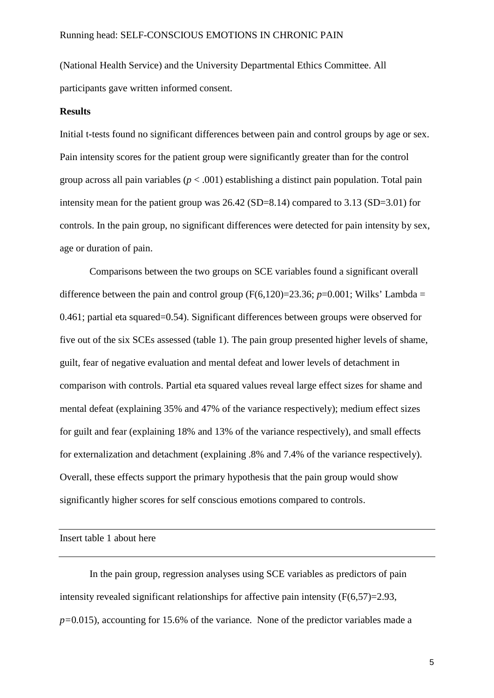(National Health Service) and the University Departmental Ethics Committee. All participants gave written informed consent.

### **Results**

Initial t-tests found no significant differences between pain and control groups by age or sex. Pain intensity scores for the patient group were significantly greater than for the control group across all pain variables  $(p < .001)$  establishing a distinct pain population. Total pain intensity mean for the patient group was 26.42 (SD=8.14) compared to 3.13 (SD=3.01) for controls. In the pain group, no significant differences were detected for pain intensity by sex, age or duration of pain.

Comparisons between the two groups on SCE variables found a significant overall difference between the pain and control group  $(F(6,120)=23.36; p=0.001;$  Wilks' Lambda = 0.461; partial eta squared=0.54). Significant differences between groups were observed for five out of the six SCEs assessed (table 1). The pain group presented higher levels of shame, guilt, fear of negative evaluation and mental defeat and lower levels of detachment in comparison with controls. Partial eta squared values reveal large effect sizes for shame and mental defeat (explaining 35% and 47% of the variance respectively); medium effect sizes for guilt and fear (explaining 18% and 13% of the variance respectively), and small effects for externalization and detachment (explaining .8% and 7.4% of the variance respectively). Overall, these effects support the primary hypothesis that the pain group would show significantly higher scores for self conscious emotions compared to controls.

Insert table 1 about here

In the pain group, regression analyses using SCE variables as predictors of pain intensity revealed significant relationships for affective pain intensity (F(6,57)=2.93, *p=*0.015), accounting for 15.6% of the variance. None of the predictor variables made a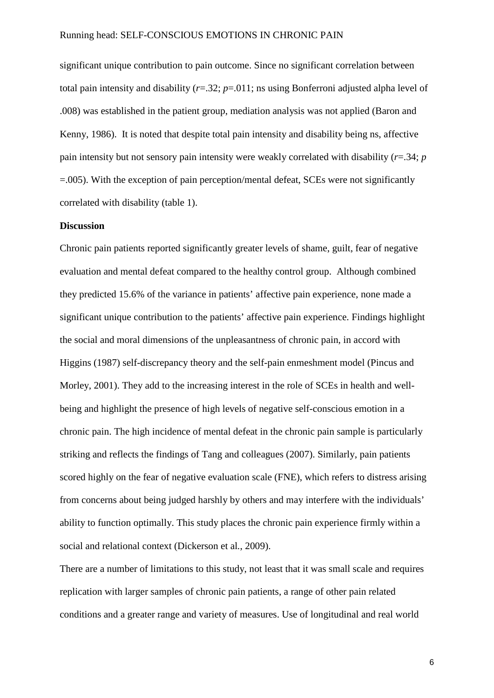significant unique contribution to pain outcome. Since no significant correlation between total pain intensity and disability (*r*=.32; *p*=.011; ns using Bonferroni adjusted alpha level of .008) was established in the patient group, mediation analysis was not applied (Baron and Kenny, 1986). It is noted that despite total pain intensity and disability being ns, affective pain intensity but not sensory pain intensity were weakly correlated with disability (*r*=.34; *p* =.005). With the exception of pain perception/mental defeat, SCEs were not significantly correlated with disability (table 1).

#### **Discussion**

Chronic pain patients reported significantly greater levels of shame, guilt, fear of negative evaluation and mental defeat compared to the healthy control group. Although combined they predicted 15.6% of the variance in patients' affective pain experience, none made a significant unique contribution to the patients' affective pain experience. Findings highlight the social and moral dimensions of the unpleasantness of chronic pain, in accord with Higgins (1987) self-discrepancy theory and the self-pain enmeshment model (Pincus and Morley, 2001). They add to the increasing interest in the role of SCEs in health and wellbeing and highlight the presence of high levels of negative self-conscious emotion in a chronic pain. The high incidence of mental defeat in the chronic pain sample is particularly striking and reflects the findings of Tang and colleagues (2007). Similarly, pain patients scored highly on the fear of negative evaluation scale (FNE), which refers to distress arising from concerns about being judged harshly by others and may interfere with the individuals' ability to function optimally. This study places the chronic pain experience firmly within a social and relational context (Dickerson et al*.*, 2009).

There are a number of limitations to this study, not least that it was small scale and requires replication with larger samples of chronic pain patients, a range of other pain related conditions and a greater range and variety of measures. Use of longitudinal and real world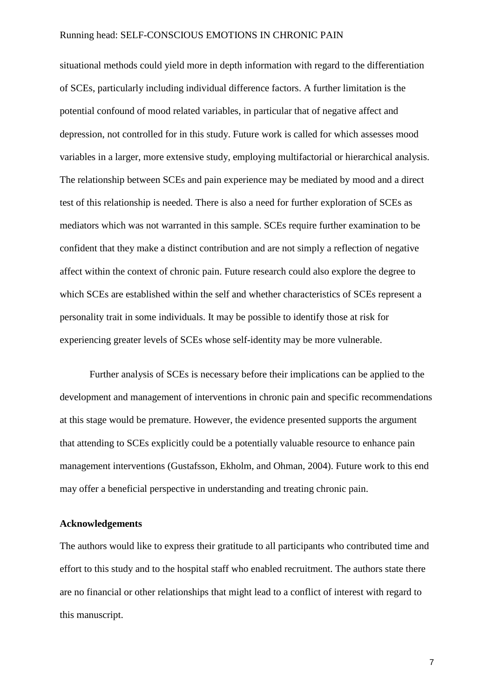situational methods could yield more in depth information with regard to the differentiation of SCEs, particularly including individual difference factors. A further limitation is the potential confound of mood related variables, in particular that of negative affect and depression, not controlled for in this study. Future work is called for which assesses mood variables in a larger, more extensive study, employing multifactorial or hierarchical analysis. The relationship between SCEs and pain experience may be mediated by mood and a direct test of this relationship is needed. There is also a need for further exploration of SCEs as mediators which was not warranted in this sample. SCEs require further examination to be confident that they make a distinct contribution and are not simply a reflection of negative affect within the context of chronic pain. Future research could also explore the degree to which SCEs are established within the self and whether characteristics of SCEs represent a personality trait in some individuals. It may be possible to identify those at risk for experiencing greater levels of SCEs whose self-identity may be more vulnerable.

Further analysis of SCEs is necessary before their implications can be applied to the development and management of interventions in chronic pain and specific recommendations at this stage would be premature. However, the evidence presented supports the argument that attending to SCEs explicitly could be a potentially valuable resource to enhance pain management interventions (Gustafsson, Ekholm, and Ohman, 2004). Future work to this end may offer a beneficial perspective in understanding and treating chronic pain.

# **Acknowledgements**

The authors would like to express their gratitude to all participants who contributed time and effort to this study and to the hospital staff who enabled recruitment. The authors state there are no financial or other relationships that might lead to a conflict of interest with regard to this manuscript.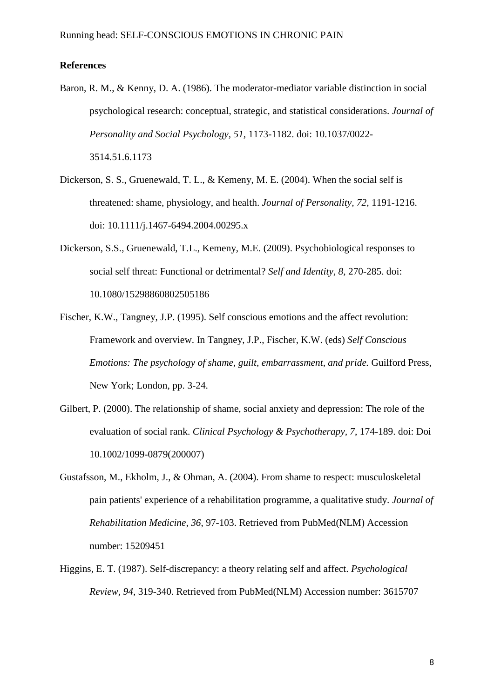# **References**

- Baron, R. M., & Kenny, D. A. (1986). The moderator-mediator variable distinction in social psychological research: conceptual, strategic, and statistical considerations. *Journal of Personality and Social Psychology, 51*, 1173-1182. doi: 10.1037/0022- 3514.51.6.1173
- Dickerson, S. S., Gruenewald, T. L., & Kemeny, M. E. (2004). When the social self is threatened: shame, physiology, and health. *Journal of Personality, 72*, 1191-1216. doi: 10.1111/j.1467-6494.2004.00295.x
- Dickerson, S.S., Gruenewald, T.L., Kemeny, M.E. (2009). Psychobiological responses to social self threat: Functional or detrimental? *Self and Identity, 8,* 270-285. doi: 10.1080/15298860802505186
- Fischer, K.W., Tangney, J.P. (1995). Self conscious emotions and the affect revolution: Framework and overview. In Tangney, J.P., Fischer, K.W. (eds) *Self Conscious Emotions: The psychology of shame, guilt, embarrassment, and pride.* Guilford Press, New York; London, pp. 3-24.
- Gilbert, P. (2000). The relationship of shame, social anxiety and depression: The role of the evaluation of social rank. *Clinical Psychology & Psychotherapy, 7*, 174-189. doi: Doi 10.1002/1099-0879(200007)
- Gustafsson, M., Ekholm, J., & Ohman, A. (2004). From shame to respect: musculoskeletal pain patients' experience of a rehabilitation programme, a qualitative study. *Journal of Rehabilitation Medicine, 36*, 97-103. Retrieved from PubMed(NLM) Accession number: 15209451
- Higgins, E. T. (1987). Self-discrepancy: a theory relating self and affect. *Psychological Review, 94*, 319-340. Retrieved from PubMed(NLM) Accession number: 3615707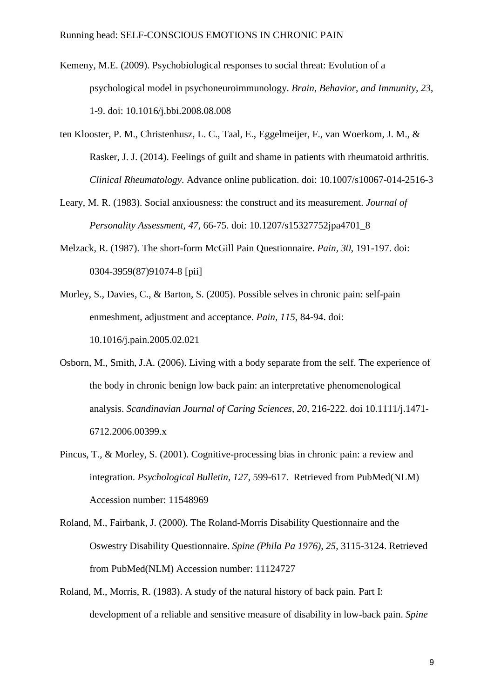- Kemeny, M.E. (2009). Psychobiological responses to social threat: Evolution of a psychological model in psychoneuroimmunology. *Brain, Behavior, and Immunity, 23*, 1-9. doi: 10.1016/j.bbi.2008.08.008
- ten Klooster, P. M., Christenhusz, L. C., Taal, E., Eggelmeijer, F., van Woerkom, J. M., & Rasker, J. J. (2014). Feelings of guilt and shame in patients with rheumatoid arthritis. *Clinical Rheumatology*. Advance online publication. doi: 10.1007/s10067-014-2516-3
- Leary, M. R. (1983). Social anxiousness: the construct and its measurement. *Journal of Personality Assessment, 47*, 66-75. doi: 10.1207/s15327752jpa4701\_8
- Melzack, R. (1987). The short-form McGill Pain Questionnaire. *Pain, 30*, 191-197. doi: 0304-3959(87)91074-8 [pii]
- Morley, S., Davies, C., & Barton, S. (2005). Possible selves in chronic pain: self-pain enmeshment, adjustment and acceptance. *Pain, 115*, 84-94. doi: 10.1016/j.pain.2005.02.021
- Osborn, M., Smith, J.A. (2006). Living with a body separate from the self. The experience of the body in chronic benign low back pain: an interpretative phenomenological analysis. *Scandinavian Journal of Caring Sciences, 20*, 216-222. doi 10.1111/j.1471- 6712.2006.00399.x
- Pincus, T., & Morley, S. (2001). Cognitive-processing bias in chronic pain: a review and integration. *Psychological Bulletin, 127*, 599-617. Retrieved from PubMed(NLM) Accession number: 11548969
- Roland, M., Fairbank, J. (2000). The Roland-Morris Disability Questionnaire and the Oswestry Disability Questionnaire. *Spine (Phila Pa 1976), 25,* 3115-3124. Retrieved from PubMed(NLM) Accession number: 11124727
- Roland, M., Morris, R. (1983). A study of the natural history of back pain. Part I: development of a reliable and sensitive measure of disability in low-back pain. *Spine*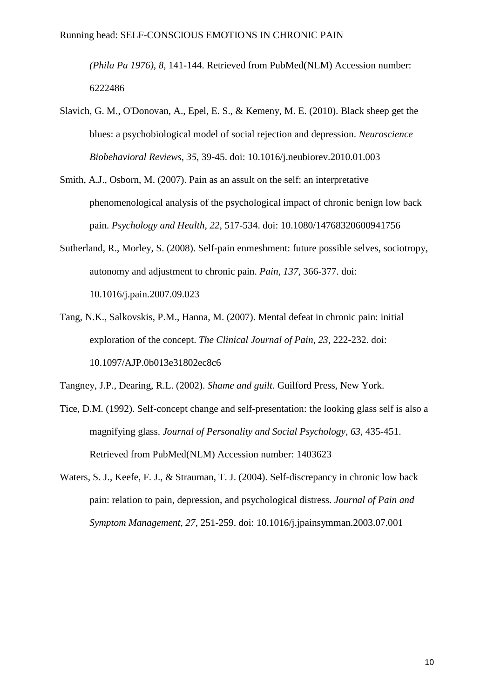*(Phila Pa 1976), 8,* 141-144. Retrieved from PubMed(NLM) Accession number: 6222486

- Slavich, G. M., O'Donovan, A., Epel, E. S., & Kemeny, M. E. (2010). Black sheep get the blues: a psychobiological model of social rejection and depression. *Neuroscience Biobehavioral Reviews, 35*, 39-45. doi: 10.1016/j.neubiorev.2010.01.003
- Smith, A.J., Osborn, M. (2007). Pain as an assult on the self: an interpretative phenomenological analysis of the psychological impact of chronic benign low back pain. *Psychology and Health*, *22,* 517-534. doi: 10.1080/14768320600941756
- Sutherland, R., Morley, S. (2008). Self-pain enmeshment: future possible selves, sociotropy, autonomy and adjustment to chronic pain. *Pain*, *137*, 366-377. doi: 10.1016/j.pain.2007.09.023
- Tang, N.K., Salkovskis, P.M., Hanna, M. (2007). Mental defeat in chronic pain: initial exploration of the concept. *The Clinical Journal of Pain*, *23*, 222-232. doi: 10.1097/AJP.0b013e31802ec8c6

Tangney, J.P., Dearing, R.L. (2002). *Shame and guilt*. Guilford Press, New York.

- Tice, D.M. (1992). Self-concept change and self-presentation: the looking glass self is also a magnifying glass. *Journal of Personality and Social Psychology*, *63*, 435-451. Retrieved from PubMed(NLM) Accession number: 1403623
- Waters, S. J., Keefe, F. J., & Strauman, T. J. (2004). Self-discrepancy in chronic low back pain: relation to pain, depression, and psychological distress. *Journal of Pain and Symptom Management, 27*, 251-259. doi: 10.1016/j.jpainsymman.2003.07.001